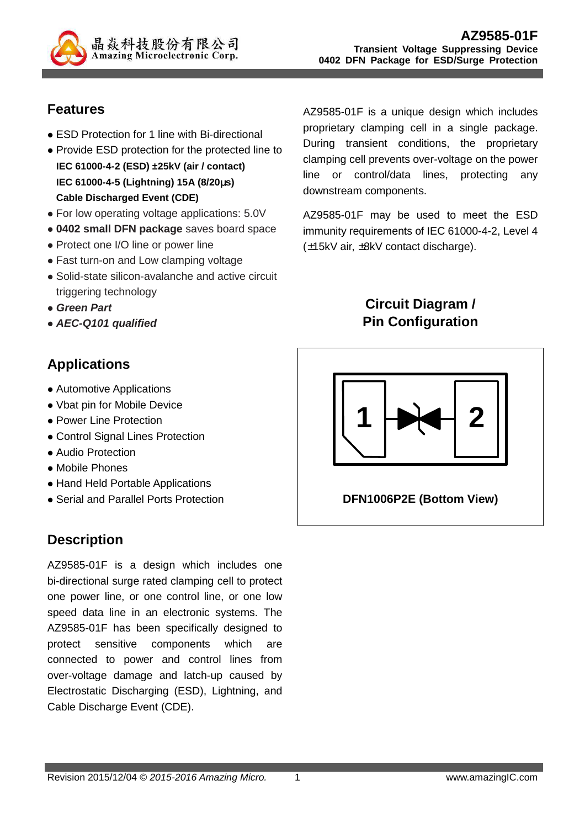

#### **Features**

- ESD Protection for 1 line with Bi-directional
- Provide ESD protection for the protected line to **IEC 61000-4-2 (ESD) ±25kV (air / contact) IEC 61000-4-5 (Lightning) 15A (8/20**µ**s) Cable Discharged Event (CDE)**
- For low operating voltage applications: 5.0V
- **0402 small DFN package** saves board space
- Protect one I/O line or power line
- Fast turn-on and Low clamping voltage
- Solid-state silicon-avalanche and active circuit triggering technology
- **Green Part**
- **AEC-Q101 qualified**

## **Applications**

- Automotive Applications
- Vbat pin for Mobile Device
- Power Line Protection
- Control Signal Lines Protection
- Audio Protection
- Mobile Phones
- Hand Held Portable Applications
- Serial and Parallel Ports Protection

### **Description**

AZ9585-01F is a design which includes one bi-directional surge rated clamping cell to protect one power line, or one control line, or one low speed data line in an electronic systems. The AZ9585-01F has been specifically designed to protect sensitive components which are connected to power and control lines from over-voltage damage and latch-up caused by Electrostatic Discharging (ESD), Lightning, and Cable Discharge Event (CDE).

AZ9585-01F is a unique design which includes proprietary clamping cell in a single package. During transient conditions, the proprietary clamping cell prevents over-voltage on the power line or control/data lines, protecting any downstream components.

AZ9585-01F may be used to meet the ESD immunity requirements of IEC 61000-4-2, Level 4 (±15kV air, ±8kV contact discharge).

### **Circuit Diagram / Pin Configuration**



**DFN1006P2E (Bottom View)**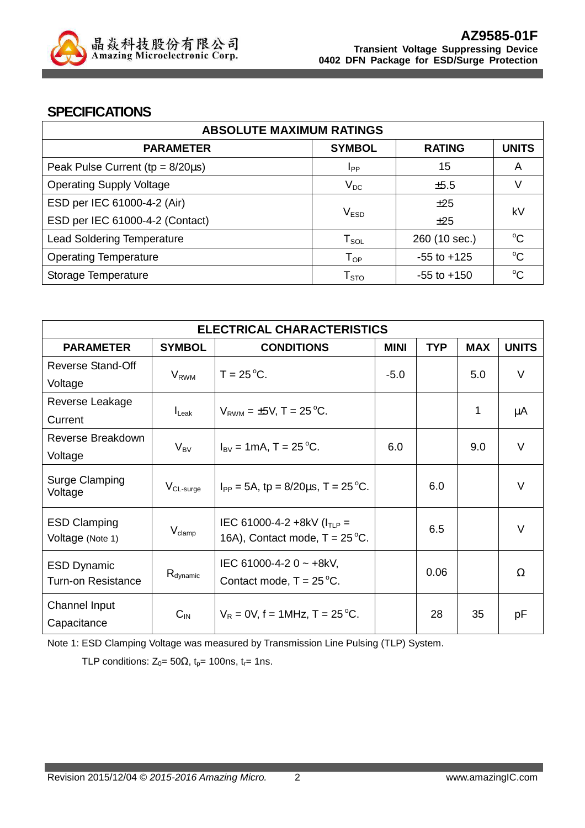

#### **SPECIFICATIONS**

| <b>ABSOLUTE MAXIMUM RATINGS</b>         |                            |                 |              |  |
|-----------------------------------------|----------------------------|-----------------|--------------|--|
| <b>PARAMETER</b>                        | <b>SYMBOL</b>              | <b>RATING</b>   | <b>UNITS</b> |  |
| Peak Pulse Current ( $tp = 8/20\mu s$ ) | Ipp                        | 15              | A            |  |
| <b>Operating Supply Voltage</b>         | $V_{DC}$                   | $\pm$ 5.5       |              |  |
| ESD per IEC 61000-4-2 (Air)             |                            | ±25             | kV           |  |
| ESD per IEC 61000-4-2 (Contact)         | V <sub>ESD</sub><br>±25    |                 |              |  |
| <b>Lead Soldering Temperature</b>       | ${\sf T}_{\sf SOL}$        | 260 (10 sec.)   | $\rm ^{o}C$  |  |
| <b>Operating Temperature</b>            | $\mathsf{T}_{\mathsf{OP}}$ | $-55$ to $+125$ | $\rm ^{o}C$  |  |
| Storage Temperature                     | ${\sf T}_{\sf STO}$        | $-55$ to $+150$ | $\rm ^{o}C$  |  |

| <b>ELECTRICAL CHARACTERISTICS</b>               |                   |                                                                             |             |            |            |              |
|-------------------------------------------------|-------------------|-----------------------------------------------------------------------------|-------------|------------|------------|--------------|
| <b>PARAMETER</b>                                | <b>SYMBOL</b>     | <b>CONDITIONS</b>                                                           | <b>MINI</b> | <b>TYP</b> | <b>MAX</b> | <b>UNITS</b> |
| <b>Reverse Stand-Off</b>                        | $V_{RWM}$         | $T = 25^{\circ}C$ .                                                         | $-5.0$      |            | 5.0        | $\vee$       |
| Voltage<br>Reverse Leakage                      |                   |                                                                             |             |            |            |              |
| Current                                         | $I_{\text{Leak}}$ | $V_{RWM} = \pm 5V$ , T = 25 °C.                                             |             |            | 1          | μA           |
| Reverse Breakdown                               | $V_{BV}$          | $I_{\text{BV}} = 1 \text{mA}$ , T = 25 °C.                                  | 6.0         |            | 9.0        | V            |
| Voltage                                         |                   |                                                                             |             |            |            |              |
| <b>Surge Clamping</b><br>Voltage                | $V_{CL-surge}$    | $I_{PP} = 5A$ , tp = 8/20 $\mu$ s, T = 25 °C.                               |             | 6.0        |            | V            |
| <b>ESD Clamping</b><br>Voltage (Note 1)         | $\rm V_{clamp}$   | IEC 61000-4-2 +8kV ( $I_{TLP}$ =<br>16A), Contact mode, $T = 25^{\circ}C$ . |             | 6.5        |            | V            |
| <b>ESD Dynamic</b><br><b>Turn-on Resistance</b> | $R_{dynamic}$     | IEC 61000-4-2 0 $\sim$ +8kV,<br>Contact mode, $T = 25^{\circ}C$ .           |             | 0.06       |            | Ω            |
| <b>Channel Input</b><br>Capacitance             | $C_{\text{IN}}$   | $V_R = 0V$ , f = 1MHz, T = 25 °C.                                           |             | 28         | 35         | рF           |

Note 1: ESD Clamping Voltage was measured by Transmission Line Pulsing (TLP) System.

TLP conditions:  $Z_0 = 50\Omega$ ,  $t_p = 100$ ns,  $t_r = 1$ ns.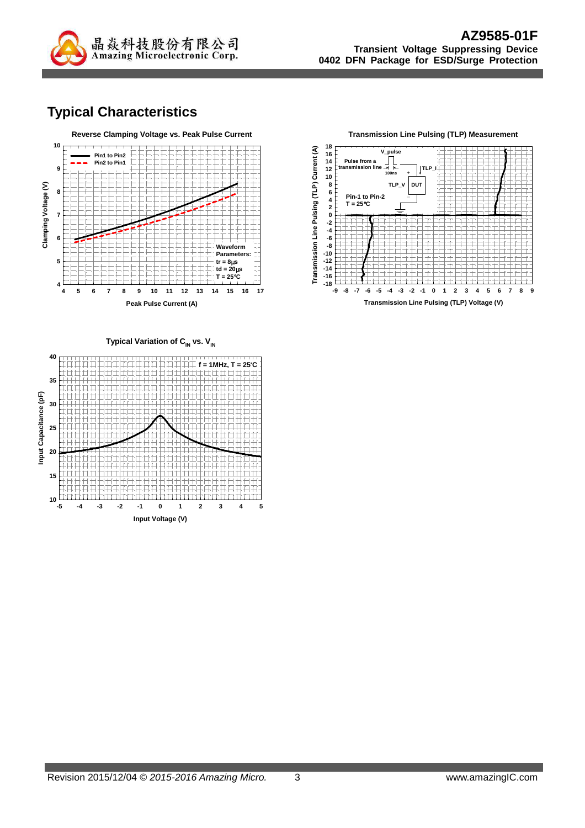

## **Typical Characteristics**





Typical Variation of C<sub>IN</sub> vs. V<sub>IN</sub>

![](_page_2_Figure_6.jpeg)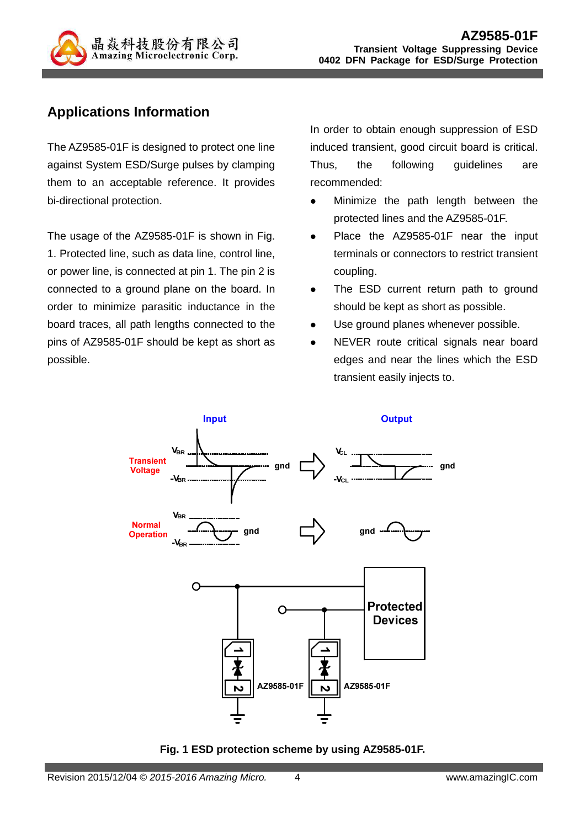![](_page_3_Picture_0.jpeg)

## **Applications Information**

The AZ9585-01F is designed to protect one line against System ESD/Surge pulses by clamping them to an acceptable reference. It provides bi-directional protection.

The usage of the AZ9585-01F is shown in Fig. 1. Protected line, such as data line, control line, or power line, is connected at pin 1. The pin 2 is connected to a ground plane on the board. In order to minimize parasitic inductance in the board traces, all path lengths connected to the pins of AZ9585-01F should be kept as short as possible.

In order to obtain enough suppression of ESD induced transient, good circuit board is critical. Thus, the following guidelines are recommended:

- Minimize the path length between the protected lines and the AZ9585-01F.
- Place the AZ9585-01F near the input terminals or connectors to restrict transient coupling.
- The ESD current return path to ground should be kept as short as possible.
- Use ground planes whenever possible.
- NEVER route critical signals near board edges and near the lines which the ESD transient easily injects to.

![](_page_3_Figure_11.jpeg)

**Fig. 1 ESD protection scheme by using AZ9585-01F.**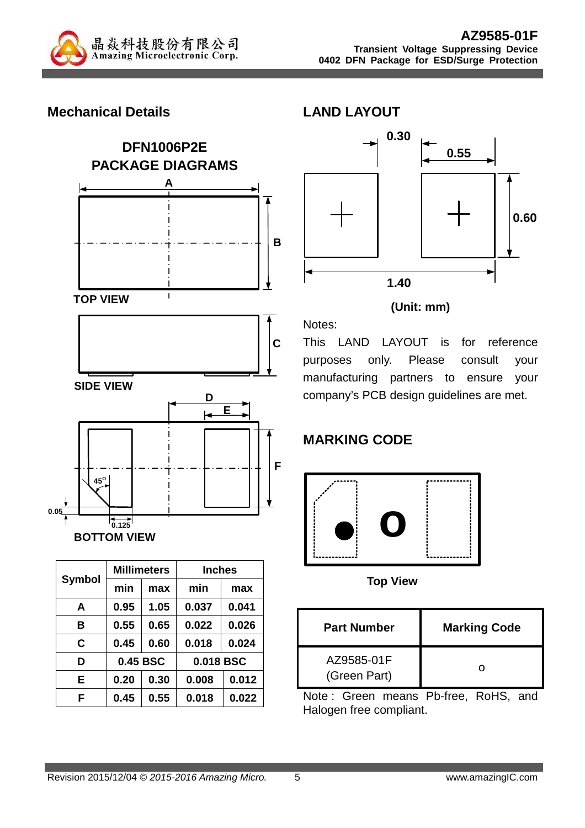![](_page_4_Picture_0.jpeg)

#### **Mechanical Details**

![](_page_4_Figure_3.jpeg)

![](_page_4_Figure_4.jpeg)

| <b>Symbol</b> |      | <b>Millimeters</b> | <b>Inches</b> |       |
|---------------|------|--------------------|---------------|-------|
|               | min  | max                | min           | max   |
| A             | 0.95 | 1.05               | 0.037         | 0.041 |
| в             | 0.55 | 0.65               | 0.022         | 0.026 |
| C             | 0.45 | 0.60               | 0.018         | 0.024 |
| D             |      | 0.45 BSC           | 0.018 BSC     |       |
| Е             | 0.20 | 0.30               | 0.008         | 0.012 |
| F             | 0.45 | 0.55               | 0.018         | 0.022 |

![](_page_4_Figure_6.jpeg)

#### **(Unit: mm)**

This LAND LAYOUT is for reference purposes only. Please consult your manufacturing partners to ensure your company's PCB design guidelines are met.

## **MARKING CODE**

![](_page_4_Figure_10.jpeg)

**Top View**

| <b>Part Number</b>         | <b>Marking Code</b> |
|----------------------------|---------------------|
| AZ9585-01F<br>(Green Part) |                     |

Note : Green means Pb-free, RoHS, and Halogen free compliant.